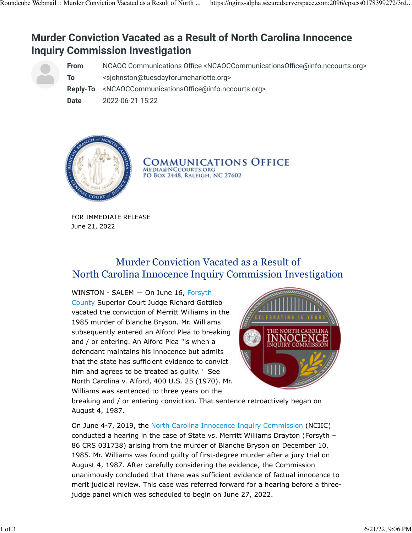# **Murder Conviction Vacated as a Result of North Carolina Innocence Inquiry Commission Investigation**

**From** NCAOC Communications Office <NCAOCCommunicationsOffice@info.nccourts.org>

**To** <sjohnston@tuesdayforumcharlotte.org>

**Reply-To** <NCAOCCommunicationsOffice@info.nccourts.org>

**Date** 2022-06-21 15:22



Communications Office **MEDIA@NCCOURTS.ORG** PO BOX 2448, RALEIGH, NC 27602

 FOR IMMEDIATE RELEASE June 21, 2022

## Murder Conviction Vacated as a Result of North Carolina Innocence Inquiry Commission Investigation

WINSTON - SALEM - On June 16, [Forsyth](https://lnks.gd/l/eyJhbGciOiJIUzI1NiJ9.eyJidWxsZXRpbl9saW5rX2lkIjoxMDAsInVyaSI6ImJwMjpjbGljayIsImJ1bGxldGluX2lkIjoiMjAyMjA2MjEuNTk3MDAwOTEiLCJ1cmwiOiJodHRwczovL3d3dy5uY2NvdXJ0cy5nb3YvbG9jYXRpb25zL2ZvcnN5dGgtY291bnR5In0.57nIcWRKwHbNi9OzGYWw4RuDqERfV7znWnShU2l-P-4/s/2166771682/br/133366382585-l) [County](https://lnks.gd/l/eyJhbGciOiJIUzI1NiJ9.eyJidWxsZXRpbl9saW5rX2lkIjoxMDAsInVyaSI6ImJwMjpjbGljayIsImJ1bGxldGluX2lkIjoiMjAyMjA2MjEuNTk3MDAwOTEiLCJ1cmwiOiJodHRwczovL3d3dy5uY2NvdXJ0cy5nb3YvbG9jYXRpb25zL2ZvcnN5dGgtY291bnR5In0.57nIcWRKwHbNi9OzGYWw4RuDqERfV7znWnShU2l-P-4/s/2166771682/br/133366382585-l) Superior Court Judge Richard Gottlieb vacated the conviction of Merritt Williams in the 1985 murder of Blanche Bryson. Mr. Williams subsequently entered an Alford Plea to breaking and / or entering. An Alford Plea "is when a defendant maintains his innocence but admits that the state has sufficient evidence to convict him and agrees to be treated as guilty." See North Carolina v. Alford, 400 U.S. 25 (1970). Mr. Williams was sentenced to three years on the



breaking and / or entering conviction. That sentence retroactively began on August 4, 1987.

On June 4-7, 2019, the [North Carolina Innocence Inquiry Commission](https://lnks.gd/l/eyJhbGciOiJIUzI1NiJ9.eyJidWxsZXRpbl9saW5rX2lkIjoxMDEsInVyaSI6ImJwMjpjbGljayIsImJ1bGxldGluX2lkIjoiMjAyMjA2MjEuNTk3MDAwOTEiLCJ1cmwiOiJodHRwczovL2lubm9jZW5jZWNvbW1pc3Npb24tbmMuZ292LyJ9.36VAXnVnVj7Atw6RY2cpYMuIXKG_XBn9djnB1LefT0c/s/2166771682/br/133366382585-l) (NCIIC) conducted a hearing in the case of State vs. Merritt Williams Drayton (Forsyth – 86 CRS 031738) arising from the murder of Blanche Bryson on December 10, 1985. Mr. Williams was found guilty of first-degree murder after a jury trial on August 4, 1987. After carefully considering the evidence, the Commission unanimously concluded that there was sufficient evidence of factual innocence to merit judicial review. This case was referred forward for a hearing before a threejudge panel which was scheduled to begin on June 27, 2022.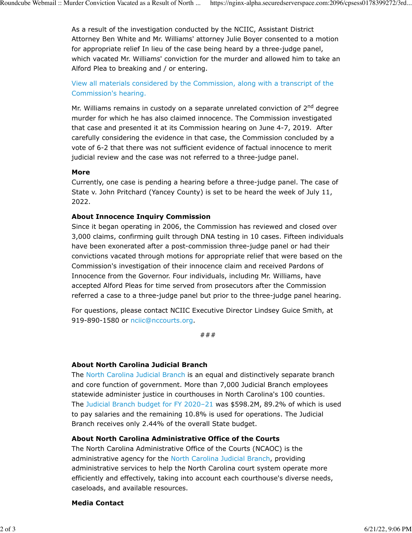As a result of the investigation conducted by the NCIIC, Assistant District Attorney Ben White and Mr. Williams' attorney Julie Boyer consented to a motion for appropriate relief In lieu of the case being heard by a three-judge panel, which vacated Mr. Williams' conviction for the murder and allowed him to take an Alford Plea to breaking and / or entering.

[View all materials considered by the Commission, along with a transcript of the](https://lnks.gd/l/eyJhbGciOiJIUzI1NiJ9.eyJidWxsZXRpbl9saW5rX2lkIjoxMDIsInVyaSI6ImJwMjpjbGljayIsImJ1bGxldGluX2lkIjoiMjAyMjA2MjEuNTk3MDAwOTEiLCJ1cmwiOiJodHRwczovL2lubm9jZW5jZWNvbW1pc3Npb24tbmMuZ292L2Nhc2VzL3N0YXRlLXYtd2lsbGlhbXMvIn0.yIfw9a9YMb6Z-JanJz2b8UfDjuyswoj6zLU3AVYfG_U/s/2166771682/br/133366382585-l) [Commission's hearing.](https://lnks.gd/l/eyJhbGciOiJIUzI1NiJ9.eyJidWxsZXRpbl9saW5rX2lkIjoxMDIsInVyaSI6ImJwMjpjbGljayIsImJ1bGxldGluX2lkIjoiMjAyMjA2MjEuNTk3MDAwOTEiLCJ1cmwiOiJodHRwczovL2lubm9jZW5jZWNvbW1pc3Npb24tbmMuZ292L2Nhc2VzL3N0YXRlLXYtd2lsbGlhbXMvIn0.yIfw9a9YMb6Z-JanJz2b8UfDjuyswoj6zLU3AVYfG_U/s/2166771682/br/133366382585-l)

Mr. Williams remains in custody on a separate unrelated conviction of 2<sup>nd</sup> degree murder for which he has also claimed innocence. The Commission investigated that case and presented it at its Commission hearing on June 4-7, 2019. After carefully considering the evidence in that case, the Commission concluded by a vote of 6-2 that there was not sufficient evidence of factual innocence to merit judicial review and the case was not referred to a three-judge panel.

### **More**

Currently, one case is pending a hearing before a three-judge panel. The case of State v. John Pritchard (Yancey County) is set to be heard the week of July 11, 2022.

### **About Innocence Inquiry Commission**

Since it began operating in 2006, the Commission has reviewed and closed over 3,000 claims, confirming guilt through DNA testing in 10 cases. Fifteen individuals have been exonerated after a post-commission three-judge panel or had their convictions vacated through motions for appropriate relief that were based on the Commission's investigation of their innocence claim and received Pardons of Innocence from the Governor. Four individuals, including Mr. Williams, have accepted Alford Pleas for time served from prosecutors after the Commission referred a case to a three-judge panel but prior to the three-judge panel hearing.

For questions, please contact NCIIC Executive Director Lindsey Guice Smith, at 919-890-1580 or [nciic@nccourts.org.](mailto:nciic@nccourts.org)

###

### **About North Carolina Judicial Branch**

The [North Carolina Judicial Branch](https://lnks.gd/l/eyJhbGciOiJIUzI1NiJ9.eyJidWxsZXRpbl9saW5rX2lkIjoxMDMsInVyaSI6ImJwMjpjbGljayIsImJ1bGxldGluX2lkIjoiMjAyMjA2MjEuNTk3MDAwOTEiLCJ1cmwiOiJodHRwczovL25jY291cnRzLmdvdi8ifQ.50ZmQlFcBrNaRbD9EvSQHvH0-F2y7T6K_E5N8VFZPLc/s/2166771682/br/133366382585-l) is an equal and distinctively separate branch and core function of government. More than 7,000 Judicial Branch employees statewide administer justice in courthouses in North Carolina's 100 counties. The [Judicial Branch budget for FY 2020–21](https://lnks.gd/l/eyJhbGciOiJIUzI1NiJ9.eyJidWxsZXRpbl9saW5rX2lkIjoxMDQsInVyaSI6ImJwMjpjbGljayIsImJ1bGxldGluX2lkIjoiMjAyMjA2MjEuNTk3MDAwOTEiLCJ1cmwiOiJodHRwczovL25jY291cnRzLmdvdi9hYm91dC9qdWRpY2lhbC1icmFuY2gtcHVibGljYXRpb25zIn0.9gNw7gFvQ3F6vcDz6NRHs4OcUHrD3vpB_LRsUwFxHAk/s/2166771682/br/133366382585-l) was \$598.2M, 89.2% of which is used to pay salaries and the remaining 10.8% is used for operations. The Judicial Branch receives only 2.44% of the overall State budget.

### **About North Carolina Administrative Office of the Courts**

The North Carolina Administrative Office of the Courts (NCAOC) is the administrative agency for the [North Carolina Judicial Branch](https://lnks.gd/l/eyJhbGciOiJIUzI1NiJ9.eyJidWxsZXRpbl9saW5rX2lkIjoxMDUsInVyaSI6ImJwMjpjbGljayIsImJ1bGxldGluX2lkIjoiMjAyMjA2MjEuNTk3MDAwOTEiLCJ1cmwiOiJodHRwczovL25jY291cnRzLmdvdi9hYm91dC9qdWRpY2lhbC1icmFuY2gtcHVibGljYXRpb25zIn0.g_4-h0QA6mWr3oAPNVo0wqW1KEpXZUuUKyEp292v1Vo/s/2166771682/br/133366382585-l), providing administrative services to help the North Carolina court system operate more efficiently and effectively, taking into account each courthouse's diverse needs, caseloads, and available resources.

#### **Media Contact**